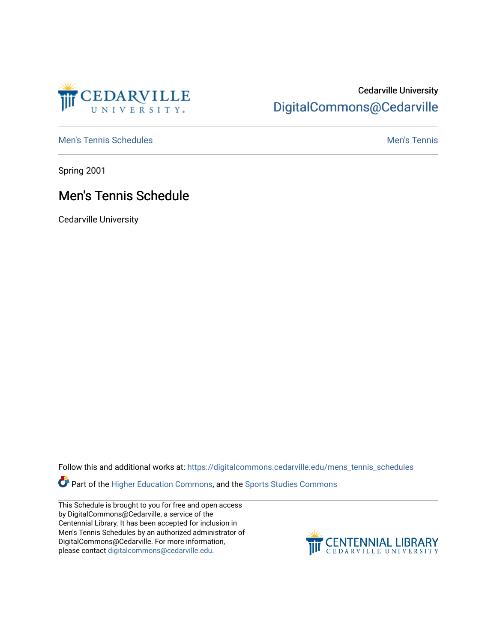

### Cedarville University [DigitalCommons@Cedarville](https://digitalcommons.cedarville.edu/)

[Men's Tennis Schedules](https://digitalcommons.cedarville.edu/mens_tennis_schedules) [Men's Tennis](https://digitalcommons.cedarville.edu/mens_tennis) Schedules Men's Tennis Schedules Men's Tennis

Spring 2001

### Men's Tennis Schedule

Cedarville University

Follow this and additional works at: [https://digitalcommons.cedarville.edu/mens\\_tennis\\_schedules](https://digitalcommons.cedarville.edu/mens_tennis_schedules?utm_source=digitalcommons.cedarville.edu%2Fmens_tennis_schedules%2F36&utm_medium=PDF&utm_campaign=PDFCoverPages) 

**Part of the [Higher Education Commons,](http://network.bepress.com/hgg/discipline/1245?utm_source=digitalcommons.cedarville.edu%2Fmens_tennis_schedules%2F36&utm_medium=PDF&utm_campaign=PDFCoverPages) and the Sports Studies Commons** 

This Schedule is brought to you for free and open access by DigitalCommons@Cedarville, a service of the Centennial Library. It has been accepted for inclusion in Men's Tennis Schedules by an authorized administrator of DigitalCommons@Cedarville. For more information, please contact [digitalcommons@cedarville.edu](mailto:digitalcommons@cedarville.edu).